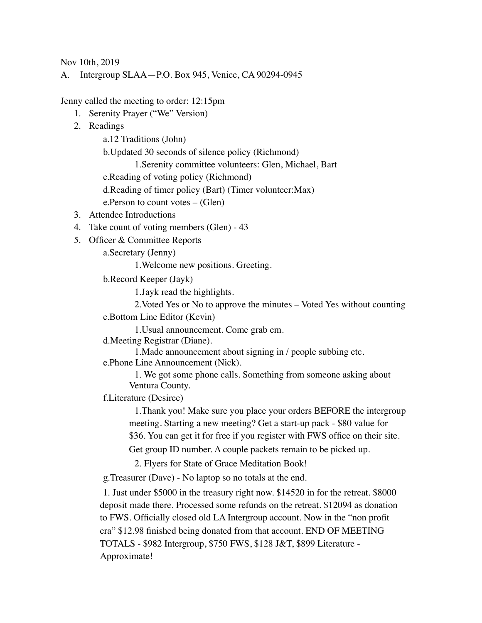Nov 10th, 2019

A. Intergroup SLAA—P.O. Box 945, Venice, CA 90294-0945

Jenny called the meeting to order: 12:15pm

- 1. Serenity Prayer ("We" Version)
- 2. Readings

a.12 Traditions (John)

b.Updated 30 seconds of silence policy (Richmond)

1.Serenity committee volunteers: Glen, Michael, Bart

c.Reading of voting policy (Richmond)

d.Reading of timer policy (Bart) (Timer volunteer:Max)

e.Person to count votes – (Glen)

- 3. Attendee Introductions
- 4. Take count of voting members (Glen) 43
- 5. Officer & Committee Reports

a.Secretary (Jenny)

1.Welcome new positions. Greeting.

b.Record Keeper (Jayk)

1.Jayk read the highlights.

2.Voted Yes or No to approve the minutes – Voted Yes without counting

c.Bottom Line Editor (Kevin)

1.Usual announcement. Come grab em.

d.Meeting Registrar (Diane).

1.Made announcement about signing in / people subbing etc.

e.Phone Line Announcement (Nick).

1. We got some phone calls. Something from someone asking about Ventura County.

f.Literature (Desiree)

1.Thank you! Make sure you place your orders BEFORE the intergroup meeting. Starting a new meeting? Get a start-up pack - \$80 value for \$36. You can get it for free if you register with FWS office on their site.

Get group ID number. A couple packets remain to be picked up.

2. Flyers for State of Grace Meditation Book!

g.Treasurer (Dave) - No laptop so no totals at the end.

1. Just under \$5000 in the treasury right now. \$14520 in for the retreat. \$8000 deposit made there. Processed some refunds on the retreat. \$12094 as donation to FWS. Officially closed old LA Intergroup account. Now in the "non profit era" \$12.98 finished being donated from that account. END OF MEETING TOTALS - \$982 Intergroup, \$750 FWS, \$128 J&T, \$899 Literature - Approximate!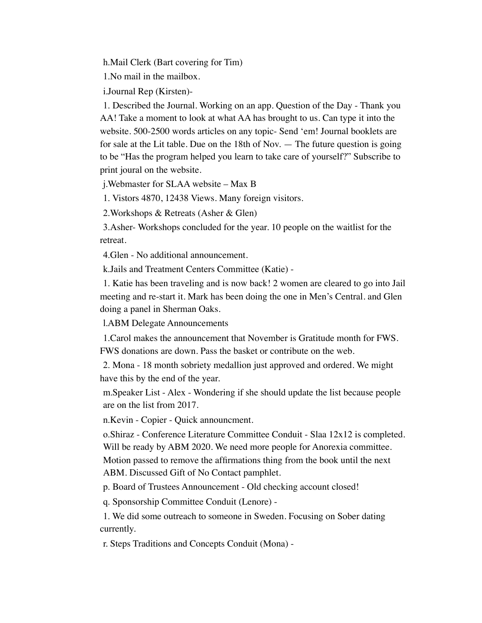h.Mail Clerk (Bart covering for Tim)

1.No mail in the mailbox.

i.Journal Rep (Kirsten)-

1. Described the Journal. Working on an app. Question of the Day - Thank you AA! Take a moment to look at what AA has brought to us. Can type it into the website. 500-2500 words articles on any topic- Send 'em! Journal booklets are for sale at the Lit table. Due on the 18th of Nov. — The future question is going to be "Has the program helped you learn to take care of yourself?" Subscribe to print joural on the website.

j.Webmaster for SLAA website – Max B

1. Vistors 4870, 12438 Views. Many foreign visitors.

2.Workshops & Retreats (Asher & Glen)

3.Asher- Workshops concluded for the year. 10 people on the waitlist for the retreat.

4.Glen - No additional announcement.

k.Jails and Treatment Centers Committee (Katie) -

1. Katie has been traveling and is now back! 2 women are cleared to go into Jail meeting and re-start it. Mark has been doing the one in Men's Central. and Glen doing a panel in Sherman Oaks.

l.ABM Delegate Announcements

1.Carol makes the announcement that November is Gratitude month for FWS. FWS donations are down. Pass the basket or contribute on the web.

2. Mona - 18 month sobriety medallion just approved and ordered. We might have this by the end of the year.

m.Speaker List - Alex - Wondering if she should update the list because people are on the list from 2017.

n.Kevin - Copier - Quick announcment.

o.Shiraz - Conference Literature Committee Conduit - Slaa 12x12 is completed. Will be ready by ABM 2020. We need more people for Anorexia committee. Motion passed to remove the affirmations thing from the book until the next ABM. Discussed Gift of No Contact pamphlet.

p. Board of Trustees Announcement - Old checking account closed!

q. Sponsorship Committee Conduit (Lenore) -

1. We did some outreach to someone in Sweden. Focusing on Sober dating currently.

r. Steps Traditions and Concepts Conduit (Mona) -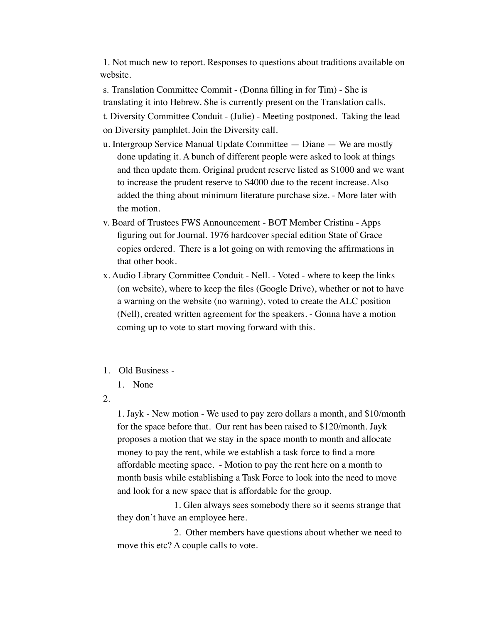1. Not much new to report. Responses to questions about traditions available on website.

s. Translation Committee Commit - (Donna filling in for Tim) - She is translating it into Hebrew. She is currently present on the Translation calls. t. Diversity Committee Conduit - (Julie) - Meeting postponed. Taking the lead

on Diversity pamphlet. Join the Diversity call.

- u. Intergroup Service Manual Update Committee Diane We are mostly done updating it. A bunch of different people were asked to look at things and then update them. Original prudent reserve listed as \$1000 and we want to increase the prudent reserve to \$4000 due to the recent increase. Also added the thing about minimum literature purchase size. - More later with the motion.
- v. Board of Trustees FWS Announcement BOT Member Cristina Apps figuring out for Journal. 1976 hardcover special edition State of Grace copies ordered. There is a lot going on with removing the affirmations in that other book.
- x. Audio Library Committee Conduit Nell. Voted where to keep the links (on website), where to keep the files (Google Drive), whether or not to have a warning on the website (no warning), voted to create the ALC position (Nell), created written agreement for the speakers. - Gonna have a motion coming up to vote to start moving forward with this.
- 1. Old Business
	- 1. None
- 2.

1. Jayk - New motion - We used to pay zero dollars a month, and \$10/month for the space before that. Our rent has been raised to \$120/month. Jayk proposes a motion that we stay in the space month to month and allocate money to pay the rent, while we establish a task force to find a more affordable meeting space. - Motion to pay the rent here on a month to month basis while establishing a Task Force to look into the need to move and look for a new space that is affordable for the group.

1. Glen always sees somebody there so it seems strange that they don't have an employee here.

2. Other members have questions about whether we need to move this etc? A couple calls to vote.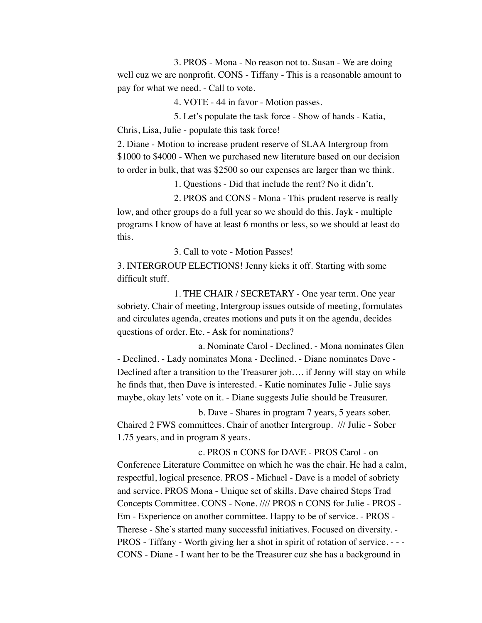3. PROS - Mona - No reason not to. Susan - We are doing well cuz we are nonprofit. CONS - Tiffany - This is a reasonable amount to pay for what we need. - Call to vote.

4. VOTE - 44 in favor - Motion passes.

5. Let's populate the task force - Show of hands - Katia, Chris, Lisa, Julie - populate this task force!

2. Diane - Motion to increase prudent reserve of SLAA Intergroup from \$1000 to \$4000 - When we purchased new literature based on our decision to order in bulk, that was \$2500 so our expenses are larger than we think.

1. Questions - Did that include the rent? No it didn't.

2. PROS and CONS - Mona - This prudent reserve is really low, and other groups do a full year so we should do this. Jayk - multiple programs I know of have at least 6 months or less, so we should at least do this.

3. Call to vote - Motion Passes!

3. INTERGROUP ELECTIONS! Jenny kicks it off. Starting with some difficult stuff.

1. THE CHAIR / SECRETARY - One year term. One year sobriety. Chair of meeting, Intergroup issues outside of meeting, formulates and circulates agenda, creates motions and puts it on the agenda, decides questions of order. Etc. - Ask for nominations?

a. Nominate Carol - Declined. - Mona nominates Glen - Declined. - Lady nominates Mona - Declined. - Diane nominates Dave - Declined after a transition to the Treasurer job…. if Jenny will stay on while he finds that, then Dave is interested. - Katie nominates Julie - Julie says maybe, okay lets' vote on it. - Diane suggests Julie should be Treasurer.

b. Dave - Shares in program 7 years, 5 years sober. Chaired 2 FWS committees. Chair of another Intergroup. /// Julie - Sober 1.75 years, and in program 8 years.

c. PROS n CONS for DAVE - PROS Carol - on Conference Literature Committee on which he was the chair. He had a calm, respectful, logical presence. PROS - Michael - Dave is a model of sobriety and service. PROS Mona - Unique set of skills. Dave chaired Steps Trad Concepts Committee. CONS - None. //// PROS n CONS for Julie - PROS - Em - Experience on another committee. Happy to be of service. - PROS - Therese - She's started many successful initiatives. Focused on diversity. - PROS - Tiffany - Worth giving her a shot in spirit of rotation of service. - - - CONS - Diane - I want her to be the Treasurer cuz she has a background in